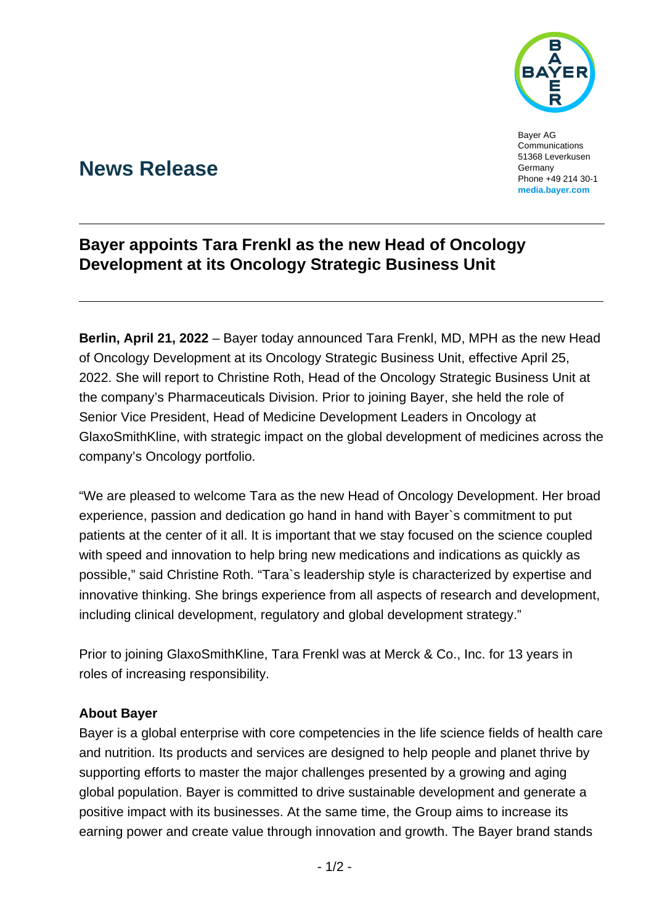

Bayer AG Communications 51368 Leverkusen Germany Phone +49 214 30-1 **[media.bayer.com](http://media.bayer.com/)**

## **News Release**

## **Bayer appoints Tara Frenkl as the new Head of Oncology Development at its Oncology Strategic Business Unit**

**Berlin, April 21, 2022** – Bayer today announced Tara Frenkl, MD, MPH as the new Head of Oncology Development at its Oncology Strategic Business Unit, effective April 25, 2022. She will report to Christine Roth, Head of the Oncology Strategic Business Unit at the company's Pharmaceuticals Division. Prior to joining Bayer, she held the role of Senior Vice President, Head of Medicine Development Leaders in Oncology at GlaxoSmithKline, with strategic impact on the global development of medicines across the company's Oncology portfolio.

"We are pleased to welcome Tara as the new Head of Oncology Development. Her broad experience, passion and dedication go hand in hand with Bayer`s commitment to put patients at the center of it all. It is important that we stay focused on the science coupled with speed and innovation to help bring new medications and indications as quickly as possible," said Christine Roth. "Tara`s leadership style is characterized by expertise and innovative thinking. She brings experience from all aspects of research and development, including clinical development, regulatory and global development strategy."

Prior to joining GlaxoSmithKline, Tara Frenkl was at Merck & Co., Inc. for 13 years in roles of increasing responsibility.

## **About Bayer**

Bayer is a global enterprise with core competencies in the life science fields of health care and nutrition. Its products and services are designed to help people and planet thrive by supporting efforts to master the major challenges presented by a growing and aging global population. Bayer is committed to drive sustainable development and generate a positive impact with its businesses. At the same time, the Group aims to increase its earning power and create value through innovation and growth. The Bayer brand stands